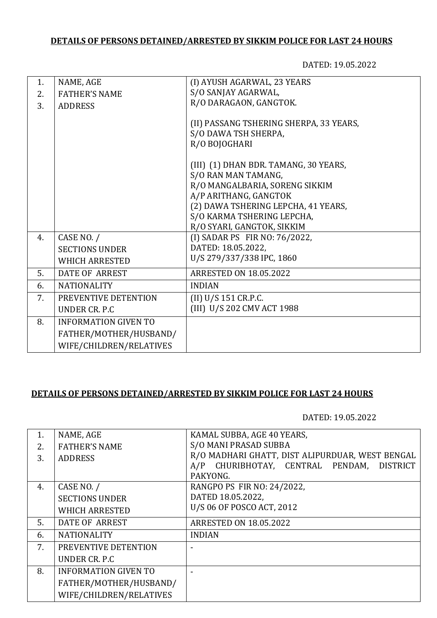## **DETAILS OF PERSONS DETAINED/ARRESTED BY SIKKIM POLICE FOR LAST 24 HOURS**

DATED: 19.05.2022

| 1. | NAME, AGE                   | (I) AYUSH AGARWAL, 23 YEARS             |
|----|-----------------------------|-----------------------------------------|
| 2. | <b>FATHER'S NAME</b>        | S/O SANJAY AGARWAL,                     |
|    |                             | R/O DARAGAON, GANGTOK.                  |
| 3. | <b>ADDRESS</b>              |                                         |
|    |                             | (II) PASSANG TSHERING SHERPA, 33 YEARS, |
|    |                             | S/O DAWA TSH SHERPA,                    |
|    |                             | R/O BOJOGHARI                           |
|    |                             |                                         |
|    |                             | (III) (1) DHAN BDR. TAMANG, 30 YEARS,   |
|    |                             | S/O RAN MAN TAMANG,                     |
|    |                             | R/O MANGALBARIA, SORENG SIKKIM          |
|    |                             | A/P ARITHANG, GANGTOK                   |
|    |                             | (2) DAWA TSHERING LEPCHA, 41 YEARS,     |
|    |                             | S/O KARMA TSHERING LEPCHA,              |
|    |                             | R/O SYARI, GANGTOK, SIKKIM              |
| 4. | CASE NO. /                  | (I) SADAR PS FIR NO: 76/2022,           |
|    | <b>SECTIONS UNDER</b>       | DATED: 18.05.2022,                      |
|    | <b>WHICH ARRESTED</b>       | U/S 279/337/338 IPC, 1860               |
| 5. | <b>DATE OF ARREST</b>       | <b>ARRESTED ON 18.05.2022</b>           |
| 6. | <b>NATIONALITY</b>          | <b>INDIAN</b>                           |
| 7. | PREVENTIVE DETENTION        | (II) U/S 151 CR.P.C.                    |
|    | UNDER CR. P.C.              | (III) U/S 202 CMV ACT 1988              |
| 8. | <b>INFORMATION GIVEN TO</b> |                                         |
|    | FATHER/MOTHER/HUSBAND/      |                                         |
|    | WIFE/CHILDREN/RELATIVES     |                                         |
|    |                             |                                         |

## **DETAILS OF PERSONS DETAINED/ARRESTED BY SIKKIM POLICE FOR LAST 24 HOURS**

DATED: 19.05.2022

| 1. | NAME, AGE                   | KAMAL SUBBA, AGE 40 YEARS,                      |
|----|-----------------------------|-------------------------------------------------|
|    |                             | S/O MANI PRASAD SUBBA                           |
| 2. | <b>FATHER'S NAME</b>        |                                                 |
| 3. | <b>ADDRESS</b>              | R/O MADHARI GHATT, DIST ALIPURDUAR, WEST BENGAL |
|    |                             | A/P CHURIBHOTAY, CENTRAL PENDAM, DISTRICT       |
|    |                             | PAKYONG.                                        |
| 4. | CASE NO. /                  | RANGPO PS FIR NO: 24/2022,                      |
|    | <b>SECTIONS UNDER</b>       | DATED 18.05.2022,                               |
|    | <b>WHICH ARRESTED</b>       | U/S 06 OF POSCO ACT, 2012                       |
|    |                             |                                                 |
| 5. | DATE OF ARREST              | <b>ARRESTED ON 18.05.2022</b>                   |
| 6. | <b>NATIONALITY</b>          | <b>INDIAN</b>                                   |
| 7. | PREVENTIVE DETENTION        |                                                 |
|    | UNDER CR. P.C               |                                                 |
| 8. | <b>INFORMATION GIVEN TO</b> |                                                 |
|    | FATHER/MOTHER/HUSBAND/      |                                                 |
|    | WIFE/CHILDREN/RELATIVES     |                                                 |